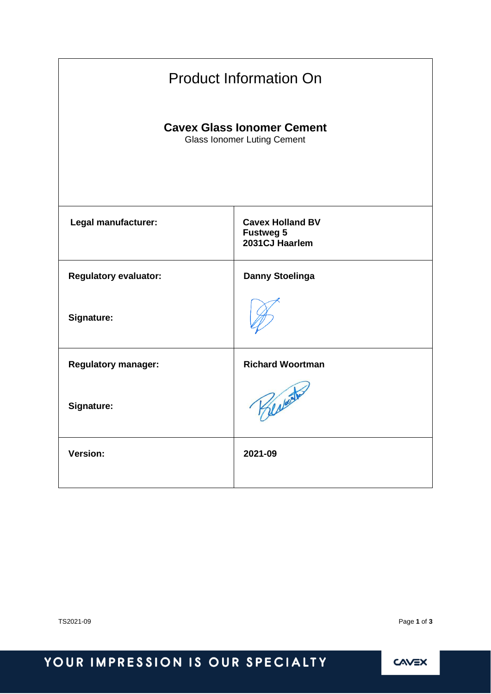| <b>Product Information On</b>                                           |                                                               |  |  |
|-------------------------------------------------------------------------|---------------------------------------------------------------|--|--|
| <b>Cavex Glass Ionomer Cement</b><br><b>Glass Ionomer Luting Cement</b> |                                                               |  |  |
| Legal manufacturer:                                                     | <b>Cavex Holland BV</b><br><b>Fustweg 5</b><br>2031CJ Haarlem |  |  |
| <b>Regulatory evaluator:</b>                                            | <b>Danny Stoelinga</b>                                        |  |  |
| <b>Signature:</b>                                                       |                                                               |  |  |
| <b>Regulatory manager:</b>                                              | <b>Richard Woortman</b>                                       |  |  |
| Signature:                                                              | Berberto                                                      |  |  |
| <b>Version:</b>                                                         | 2021-09                                                       |  |  |

TS2021-09 Page **1** of **3**

# YOUR IMPRESSION IS OUR SPECIALTY

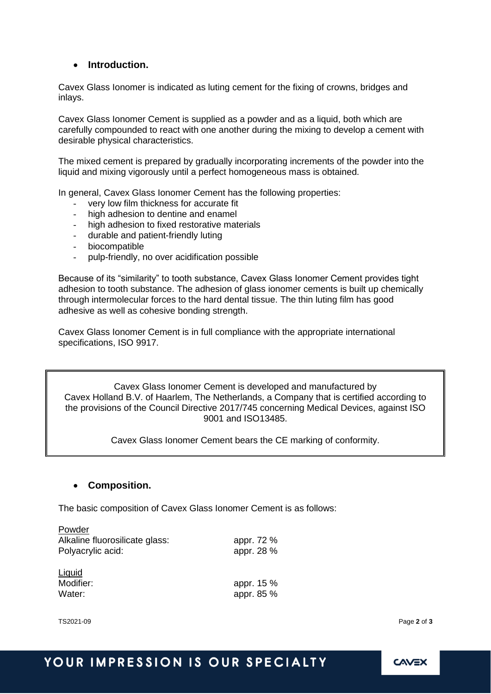#### • **Introduction.**

Cavex Glass Ionomer is indicated as luting cement for the fixing of crowns, bridges and inlays.

Cavex Glass Ionomer Cement is supplied as a powder and as a liquid, both which are carefully compounded to react with one another during the mixing to develop a cement with desirable physical characteristics.

The mixed cement is prepared by gradually incorporating increments of the powder into the liquid and mixing vigorously until a perfect homogeneous mass is obtained.

In general, Cavex Glass Ionomer Cement has the following properties:

- very low film thickness for accurate fit
- high adhesion to dentine and enamel
- high adhesion to fixed restorative materials
- durable and patient-friendly luting
- biocompatible
- pulp-friendly, no over acidification possible

Because of its "similarity" to tooth substance, Cavex Glass Ionomer Cement provides tight adhesion to tooth substance. The adhesion of glass ionomer cements is built up chemically through intermolecular forces to the hard dental tissue. The thin luting film has good adhesive as well as cohesive bonding strength.

Cavex Glass Ionomer Cement is in full compliance with the appropriate international specifications, ISO 9917.

Cavex Glass Ionomer Cement is developed and manufactured by Cavex Holland B.V. of Haarlem, The Netherlands, a Company that is certified according to the provisions of the Council Directive 2017/745 concerning Medical Devices, against ISO 9001 and ISO13485.

Cavex Glass Ionomer Cement bears the CE marking of conformity.

#### • **Composition.**

The basic composition of Cavex Glass Ionomer Cement is as follows:

| Powder                         |            |
|--------------------------------|------------|
| Alkaline fluorosilicate glass: | appr. 72 % |
| Polyacrylic acid:              | appr. 28 % |
| Liquid                         |            |
| Modifier:                      | appr. 15 % |
| Water:                         | appr. 85 % |

TS2021-09 Page **2** of **3**

### YOUR IMPRESSION IS OUR SPECIALTY